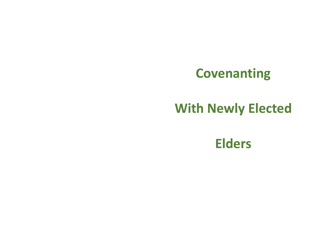# **Covenanting**

# **With Newly Elected**

**Elders**